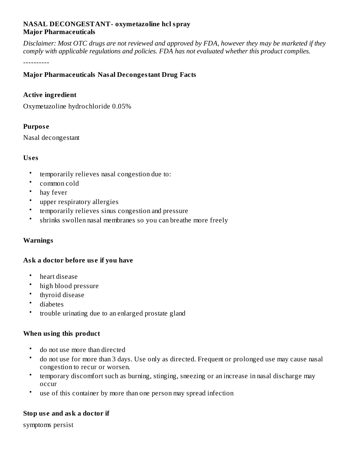## **NASAL DECONGESTANT- oxymetazoline hcl spray Major Pharmaceuticals**

Disclaimer: Most OTC drugs are not reviewed and approved by FDA, however they may be marketed if they *comply with applicable regulations and policies. FDA has not evaluated whether this product complies.*

----------

## **Major Pharmaceuticals Nasal Decongestant Drug Facts**

#### **Active ingredient**

Oxymetazoline hydrochloride 0.05%

#### **Purpos e**

Nasal decongestant

#### **Us es**

- temporarily relieves nasal congestion due to:
- common cold
- hay fever
- upper respiratory allergies
- temporarily relieves sinus congestion and pressure
- shrinks swollen nasal membranes so you can breathe more freely

## **Warnings**

## **Ask a doctor before us e if you have**

- heart disease
- high blood pressure
- thyroid disease
- diabetes
- trouble urinating due to an enlarged prostate gland

#### **When using this product**

- do not use more than directed
- do not use for more than 3 days. Use only as directed. Frequent or prolonged use may cause nasal congestion to recur or worsen.
- temporary discomfort such as burning, stinging, sneezing or an increase in nasal discharge may occur
- use of this container by more than one person may spread infection

## **Stop us e and ask a doctor if**

symptoms persist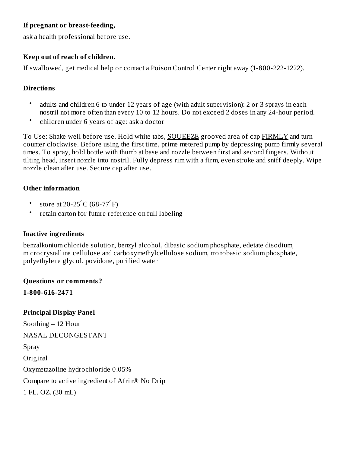# **If pregnant or breast-feeding,**

ask a health professional before use.

## **Keep out of reach of children.**

If swallowed, get medical help or contact a Poison Control Center right away (1-800-222-1222).

## **Directions**

- adults and children 6 to under 12 years of age (with adult supervision): 2 or 3 sprays in each nostril not more often than every 10 to 12 hours. Do not exceed 2 doses in any 24-hour period.
- children under 6 years of age: ask a doctor

To Use: Shake well before use. Hold white tabs, SQUEEZE grooved area of cap FIRMLY and turn counter clockwise. Before using the first time, prime metered pump by depressing pump firmly several times. To spray, hold bottle with thumb at base and nozzle between first and second fingers. Without tilting head, insert nozzle into nostril. Fully depress rim with a firm, even stroke and sniff deeply. Wipe nozzle clean after use. Secure cap after use.

## **Other information**

- store at 20-25 $^{\circ}$ C (68-77 $^{\circ}$ F)
- retain carton for future reference on full labeling

## **Inactive ingredients**

benzalkonium chloride solution, benzyl alcohol, dibasic sodium phosphate, edetate disodium, microcrystalline cellulose and carboxymethylcellulose sodium, monobasic sodium phosphate, polyethylene glycol, povidone, purified water

## **Questions or comments?**

**1-800-616-2471**

**Principal Display Panel** Soothing – 12 Hour NASAL DECONGESTANT Spray Original Oxymetazoline hydrochloride 0.05% Compare to active ingredient of Afrin® No Drip 1 FL. OZ. (30 mL)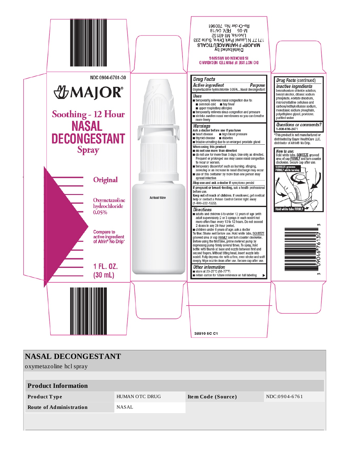

| NASAL DECONGESTANT             |                |                    |               |  |  |  |  |
|--------------------------------|----------------|--------------------|---------------|--|--|--|--|
| oxymetazoline hcl spray        |                |                    |               |  |  |  |  |
|                                |                |                    |               |  |  |  |  |
| <b>Product Information</b>     |                |                    |               |  |  |  |  |
| <b>Product Type</b>            | HUMAN OTC DRUG | Item Code (Source) | NDC:0904-6761 |  |  |  |  |
| <b>Route of Administration</b> | NASAL          |                    |               |  |  |  |  |
|                                |                |                    |               |  |  |  |  |
|                                |                |                    |               |  |  |  |  |